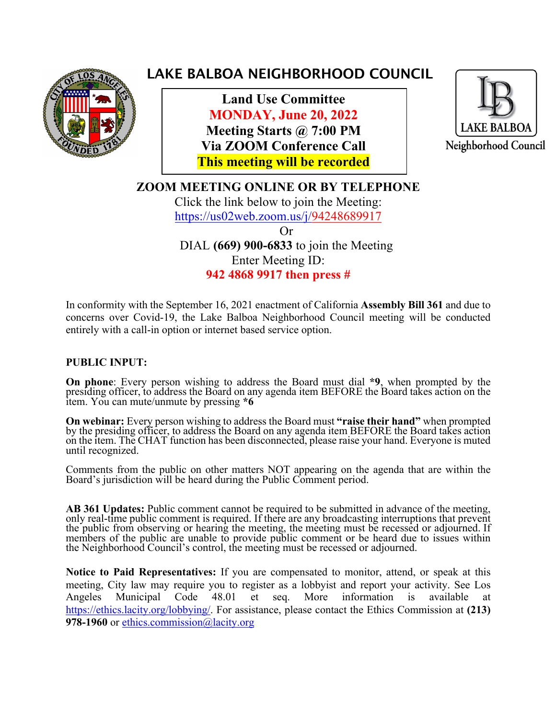

# **LAKE BALBOA NEIGHBORHOOD COUNCIL**

 **Land Use Committee MONDAY, June 20, 2022 Meeting Starts @ 7:00 PM Via ZOOM Conference Call This meeting will be recorded**



**ZOOM MEETING ONLINE OR BY TELEPHONE** Click the link below to join the Meeting: https://us02web.zoom.us/j/94248689917 Or DIAL **(669) 900-6833** to join the Meeting Enter Meeting ID:

**942 4868 9917 then press #**

In conformity with the September 16, 2021 enactment of California **Assembly Bill 361** and due to concerns over Covid-19, the Lake Balboa Neighborhood Council meeting will be conducted entirely with a call-in option or internet based service option.

#### **PUBLIC INPUT:**

**On phone**: Every person wishing to address the Board must dial **\*9**, when prompted by the presiding officer, to address the Board on any agenda item BEFORE the Board takes action on the item. You can mute/unmute by pressing **\*6**

**On webinar:** Every person wishing to address the Board must **"raise their hand"** when prompted by the presiding officer, to address the Board on any agenda item BEFORE the Board takes action on the item. The CHAT function has been disconnected, please raise your hand. Everyone is muted until recognized.

Comments from the public on other matters NOT appearing on the agenda that are within the Board's jurisdiction will be heard during the Public Comment period.

AB 361 Updates: Public comment cannot be required to be submitted in advance of the meeting, only real-time public comment is required. If there are any broadcasting interruptions that prevent members of the public are unable to provide public comment or be heard due to issues within the Neighborhood Council's control, the meeting must be recessed or adjourned.

**Notice to Paid Representatives:** If you are compensated to monitor, attend, or speak at this meeting, City law may require you to register as a lobbyist and report your activity. See Los Angeles Municipal Code 48.01 et seq. More information is available at https://ethics.lacity.org/lobbying/. For assistance, please contact the Ethics Commission at **(213)**  978-1960 or ethics.commission@lacity.org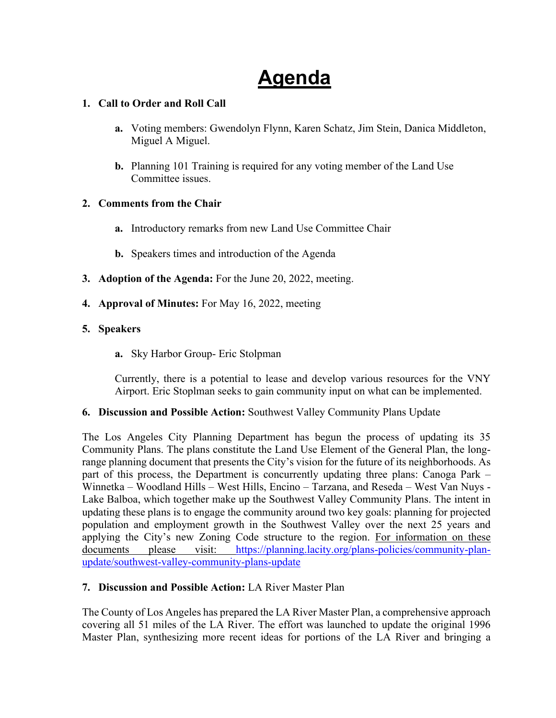# **Agenda**

#### **1. Call to Order and Roll Call**

- **a.** Voting members: Gwendolyn Flynn, Karen Schatz, Jim Stein, Danica Middleton, Miguel A Miguel.
- **b.** Planning 101 Training is required for any voting member of the Land Use Committee issues.

#### **2. Comments from the Chair**

- **a.** Introductory remarks from new Land Use Committee Chair
- **b.** Speakers times and introduction of the Agenda
- **3. Adoption of the Agenda:** For the June 20, 2022, meeting.
- **4. Approval of Minutes:** For May 16, 2022, meeting

#### **5. Speakers**

**a.** Sky Harbor Group- Eric Stolpman

Currently, there is a potential to lease and develop various resources for the VNY Airport. Eric Stoplman seeks to gain community input on what can be implemented.

#### **6. Discussion and Possible Action:** Southwest Valley Community Plans Update

The Los Angeles City Planning Department has begun the process of updating its 35 Community Plans. The plans constitute the Land Use Element of the General Plan, the longrange planning document that presents the City's vision for the future of its neighborhoods. As part of this process, the Department is concurrently updating three plans: Canoga Park – Winnetka – Woodland Hills – West Hills, Encino – Tarzana, and Reseda – West Van Nuys - Lake Balboa, which together make up the Southwest Valley Community Plans. The intent in updating these plans is to engage the community around two key goals: planning for projected population and employment growth in the Southwest Valley over the next 25 years and applying the City's new Zoning Code structure to the region. For information on these documents please visit: https://planning.lacity.org/plans-policies/community-planupdate/southwest-valley-community-plans-update

#### **7. Discussion and Possible Action:** LA River Master Plan

The County of Los Angeles has prepared the LA River Master Plan, a comprehensive approach covering all 51 miles of the LA River. The effort was launched to update the original 1996 Master Plan, synthesizing more recent ideas for portions of the LA River and bringing a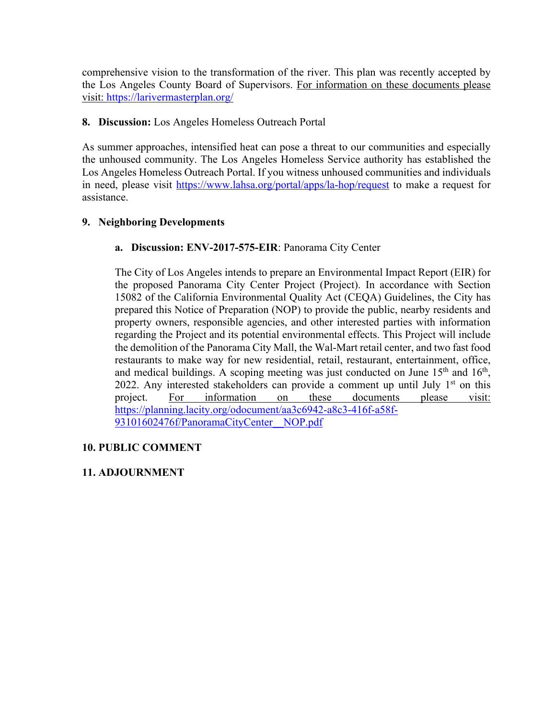comprehensive vision to the transformation of the river. This plan was recently accepted by the Los Angeles County Board of Supervisors. For information on these documents please visit: https://larivermasterplan.org/

#### **8. Discussion:** Los Angeles Homeless Outreach Portal

As summer approaches, intensified heat can pose a threat to our communities and especially the unhoused community. The Los Angeles Homeless Service authority has established the Los Angeles Homeless Outreach Portal. If you witness unhoused communities and individuals in need, please visit https://www.lahsa.org/portal/apps/la-hop/request to make a request for assistance.

#### **9. Neighboring Developments**

#### **a. Discussion: ENV-2017-575-EIR**: Panorama City Center

The City of Los Angeles intends to prepare an Environmental Impact Report (EIR) for the proposed Panorama City Center Project (Project). In accordance with Section 15082 of the California Environmental Quality Act (CEQA) Guidelines, the City has prepared this Notice of Preparation (NOP) to provide the public, nearby residents and property owners, responsible agencies, and other interested parties with information regarding the Project and its potential environmental effects. This Project will include the demolition of the Panorama City Mall, the Wal-Mart retail center, and two fast food restaurants to make way for new residential, retail, restaurant, entertainment, office, and medical buildings. A scoping meeting was just conducted on June  $15<sup>th</sup>$  and  $16<sup>th</sup>$ , 2022. Any interested stakeholders can provide a comment up until July  $1<sup>st</sup>$  on this project. For information on these documents please visit: https://planning.lacity.org/odocument/aa3c6942-a8c3-416f-a58f-93101602476f/PanoramaCityCenter\_\_NOP.pdf

#### **10. PUBLIC COMMENT**

#### **11. ADJOURNMENT**